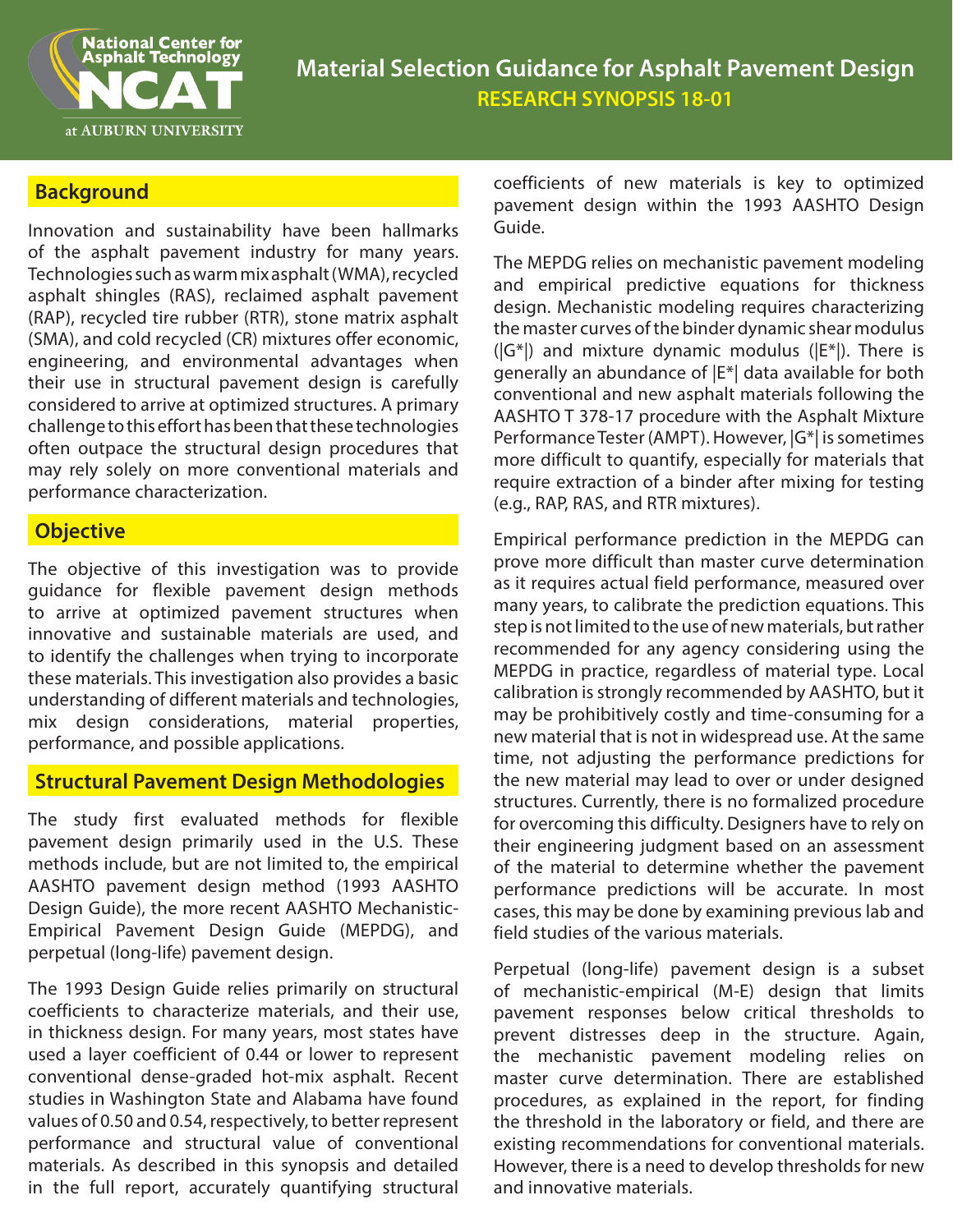

# **Background**

Innovation and sustainability have been hallmarks of the asphalt pavement industry for many years. Technologies such as warm mix asphalt (WMA), recycled asphalt shingles (RAS), reclaimed asphalt pavement (RAP), recycled tire rubber (RTR), stone matrix asphalt (SMA), and cold recycled (CR) mixtures offer economic, engineering, and environmental advantages when their use in structural pavement design is carefully considered to arrive at optimized structures. A primary challenge to this effort has been that these technologies often outpace the structural design procedures that may rely solely on more conventional materials and performance characterization.

### **Objective**

The objective of this investigation was to provide guidance for flexible pavement design methods to arrive at optimized pavement structures when innovative and sustainable materials are used, and to identify the challenges when trying to incorporate these materials. This investigation also provides a basic understanding of different materials and technologies, mix design considerations, material properties, performance, and possible applications.

### **Structural Pavement Design Methodologies**

The study first evaluated methods for flexible pavement design primarily used in the U.S. These methods include, but are not limited to, the empirical AASHTO pavement design method (1993 AASHTO Design Guide), the more recent AASHTO Mechanistic-Empirical Pavement Design Guide (MEPDG), and perpetual (long-life) pavement design.

The 1993 Design Guide relies primarily on structural coefficients to characterize materials, and their use, in thickness design. For many years, most states have used a layer coefficient of 0.44 or lower to represent conventional dense-graded hot-mix asphalt. Recent studies in Washington State and Alabama have found values of 0.50 and 0.54, respectively, to better represent performance and structural value of conventional materials. As described in this synopsis and detailed in the full report, accurately quantifying structural

coefficients of new materials is key to optimized pavement design within the 1993 AASHTO Desian Guide.

The MEPDG relies on mechanistic pavement modeling and empirical predictive equations for thickness design. Mechanistic modeling requires characterizing the master curves of the binder dynamic shear modulus  $(|G^*|)$  and mixture dynamic modulus  $(|E^*|)$ . There is generally an abundance of |E\*| data available for both conventional and new asphalt materials following the AASHTO T 378-17 procedure with the Asphalt Mixture Performance Tester (AMPT). However, |G\*| is sometimes more difficult to quantify, especially for materials that require extraction of a binder after mixing for testing (e.g., RAP, RAS, and RTR mixtures).

Empirical performance prediction in the MEPDG can prove more difficult than master curve determination as it requires actual field performance, measured over many years, to calibrate the prediction equations. This step is not limited to the use of new materials, but rather recommended for any agency considering using the MEPDG in practice, regardless of material type. Local calibration is strongly recommended by AASHTO, but it may be prohibitively costly and time-consuming for a new material that is not in widespread use. At the same time, not adjusting the performance predictions for the new material may lead to over or under designed structures. Currently, there is no formalized procedure for overcoming this difficulty. Designers have to rely on their engineering judgment based on an assessment of the material to determine whether the pavement performance predictions will be accurate. In most cases, this may be done by examining previous lab and field studies of the various materials.

Perpetual (long-life) pavement design is a subset of mechanistic-empirical (M-E) design that limits pavement responses below critical thresholds to prevent distresses deep in the structure. Again, the mechanistic pavement modeling relies on master curve determination. There are established procedures, as explained in the report, for finding the threshold in the laboratory or field, and there are existing recommendations for conventional materials. However, there is a need to develop thresholds for new and innovative materials.